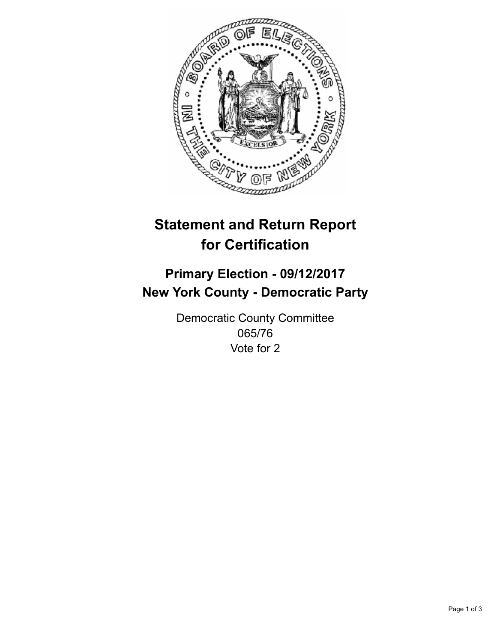

## **Statement and Return Report for Certification**

## **Primary Election - 09/12/2017 New York County - Democratic Party**

Democratic County Committee 065/76 Vote for 2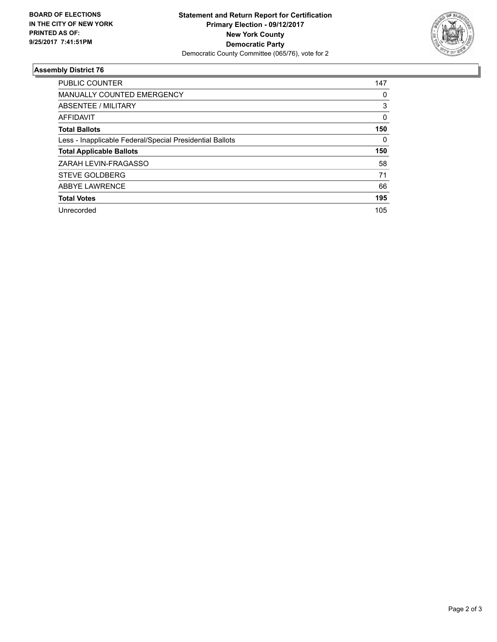

## **Assembly District 76**

| <b>PUBLIC COUNTER</b>                                    | 147 |
|----------------------------------------------------------|-----|
| MANUALLY COUNTED EMERGENCY                               | 0   |
| ABSENTEE / MILITARY                                      | 3   |
| AFFIDAVIT                                                | 0   |
| <b>Total Ballots</b>                                     | 150 |
| Less - Inapplicable Federal/Special Presidential Ballots | 0   |
| <b>Total Applicable Ballots</b>                          | 150 |
| ZARAH LEVIN-FRAGASSO                                     | 58  |
| <b>STEVE GOLDBERG</b>                                    | 71  |
| <b>ABBYE LAWRENCE</b>                                    | 66  |
| <b>Total Votes</b>                                       | 195 |
| Unrecorded                                               | 105 |